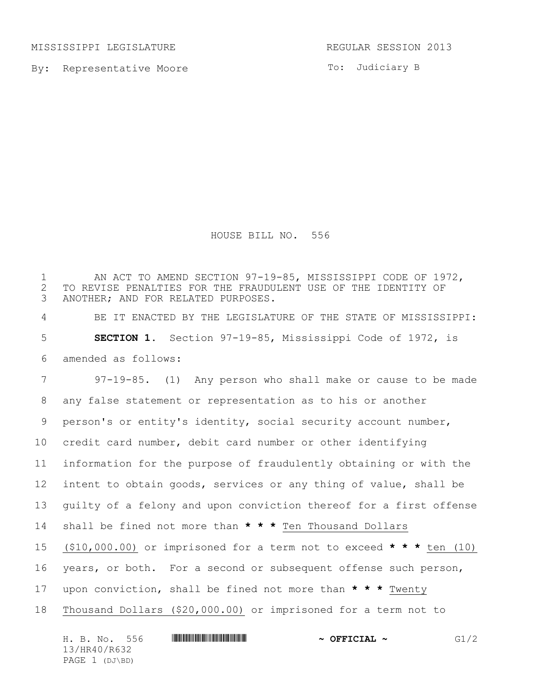MISSISSIPPI LEGISLATURE **REGULAR SESSION 2013** 

By: Representative Moore

To: Judiciary B

HOUSE BILL NO. 556

1 AN ACT TO AMEND SECTION 97-19-85, MISSISSIPPI CODE OF 1972, 2 TO REVISE PENALTIES FOR THE FRAUDULENT USE OF THE IDENTITY OF ANOTHER; AND FOR RELATED PURPOSES. ANOTHER; AND FOR RELATED PURPOSES. BE IT ENACTED BY THE LEGISLATURE OF THE STATE OF MISSISSIPPI: **SECTION 1.** Section 97-19-85, Mississippi Code of 1972, is amended as follows: 97-19-85. (1) Any person who shall make or cause to be made any false statement or representation as to his or another person's or entity's identity, social security account number, credit card number, debit card number or other identifying information for the purpose of fraudulently obtaining or with the intent to obtain goods, services or any thing of value, shall be guilty of a felony and upon conviction thereof for a first offense shall be fined not more than **\* \* \*** Ten Thousand Dollars (\$10,000.00) or imprisoned for a term not to exceed **\* \* \*** ten (10) years, or both. For a second or subsequent offense such person, upon conviction, shall be fined not more than **\* \* \*** Twenty Thousand Dollars (\$20,000.00) or imprisoned for a term not to

| H. B. No.      | 556 | $\sim$ OFFICIAL $\sim$ | G1/2 |
|----------------|-----|------------------------|------|
| 13/HR40/R632   |     |                        |      |
| PAGE 1 (DJ\BD) |     |                        |      |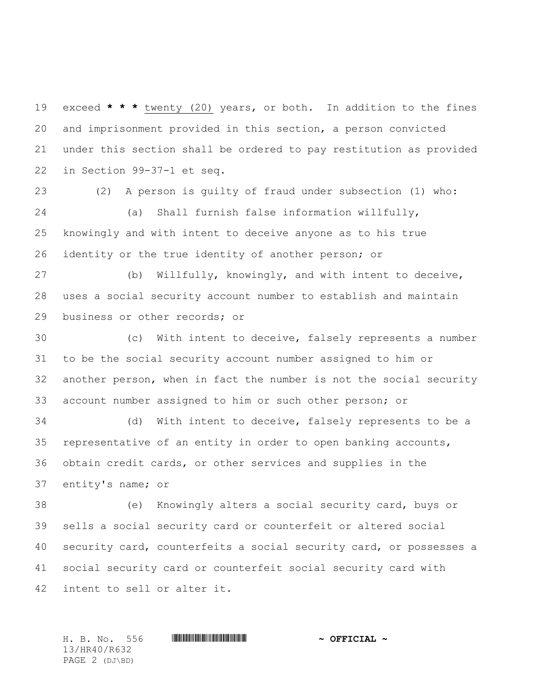exceed **\* \* \*** twenty (20) years, or both. In addition to the fines and imprisonment provided in this section, a person convicted under this section shall be ordered to pay restitution as provided in Section 99-37-1 et seq.

 (2) A person is guilty of fraud under subsection (1) who: (a) Shall furnish false information willfully, knowingly and with intent to deceive anyone as to his true identity or the true identity of another person; or

 (b) Willfully, knowingly, and with intent to deceive, uses a social security account number to establish and maintain business or other records; or

 (c) With intent to deceive, falsely represents a number to be the social security account number assigned to him or another person, when in fact the number is not the social security account number assigned to him or such other person; or

 (d) With intent to deceive, falsely represents to be a representative of an entity in order to open banking accounts, obtain credit cards, or other services and supplies in the entity's name; or

 (e) Knowingly alters a social security card, buys or sells a social security card or counterfeit or altered social security card, counterfeits a social security card, or possesses a social security card or counterfeit social security card with intent to sell or alter it.

13/HR40/R632 PAGE 2 (DJ\BD)

H. B. No. 556 \*HR40/R632\* **~ OFFICIAL ~**